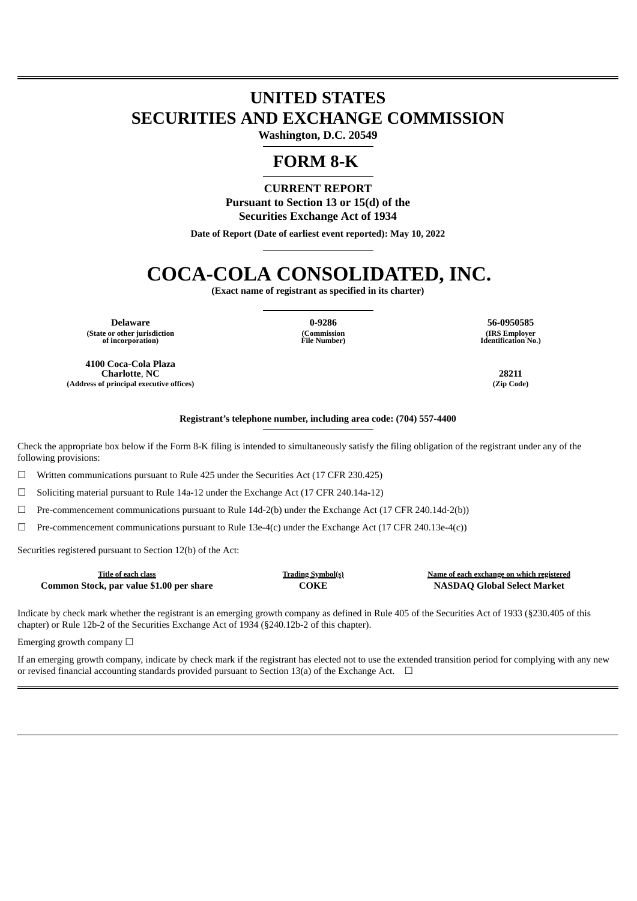# **UNITED STATES SECURITIES AND EXCHANGE COMMISSION**

**Washington, D.C. 20549**

## **FORM 8-K**

#### **CURRENT REPORT**

**Pursuant to Section 13 or 15(d) of the Securities Exchange Act of 1934**

**Date of Report (Date of earliest event reported): May 10, 2022**

# **COCA-COLA CONSOLIDATED, INC.**

**(Exact name of registrant as specified in its charter)**

**Delaware 0-9286 56-0950585 (State or other jurisdiction of incorporation)**

**4100 Coca-Cola Plaza**

**(Commission File Number)**

**(IRS Employer Identification No.)**

**Charlotte**, **NC 28211 (Address of principal executive offices) (Zip Code)**

**Registrant's telephone number, including area code: (704) 557-4400**

Check the appropriate box below if the Form 8-K filing is intended to simultaneously satisfy the filing obligation of the registrant under any of the following provisions:

☐ Written communications pursuant to Rule 425 under the Securities Act (17 CFR 230.425)

 $\Box$  Soliciting material pursuant to Rule 14a-12 under the Exchange Act (17 CFR 240.14a-12)

 $\Box$  Pre-commencement communications pursuant to Rule 14d-2(b) under the Exchange Act (17 CFR 240.14d-2(b))

 $\Box$  Pre-commencement communications pursuant to Rule 13e-4(c) under the Exchange Act (17 CFR 240.13e-4(c))

Securities registered pursuant to Section 12(b) of the Act:

| Title of each class                      | <b>Trading Symbol(s)</b> | Name of each exchange on which registered |
|------------------------------------------|--------------------------|-------------------------------------------|
| Common Stock, par value \$1.00 per share | <b>COKE</b>              | <b>NASDAQ Global Select Market</b>        |

Indicate by check mark whether the registrant is an emerging growth company as defined in Rule 405 of the Securities Act of 1933 (§230.405 of this chapter) or Rule 12b-2 of the Securities Exchange Act of 1934 (§240.12b-2 of this chapter).

Emerging growth company  $\Box$ 

If an emerging growth company, indicate by check mark if the registrant has elected not to use the extended transition period for complying with any new or revised financial accounting standards provided pursuant to Section 13(a) of the Exchange Act.  $\Box$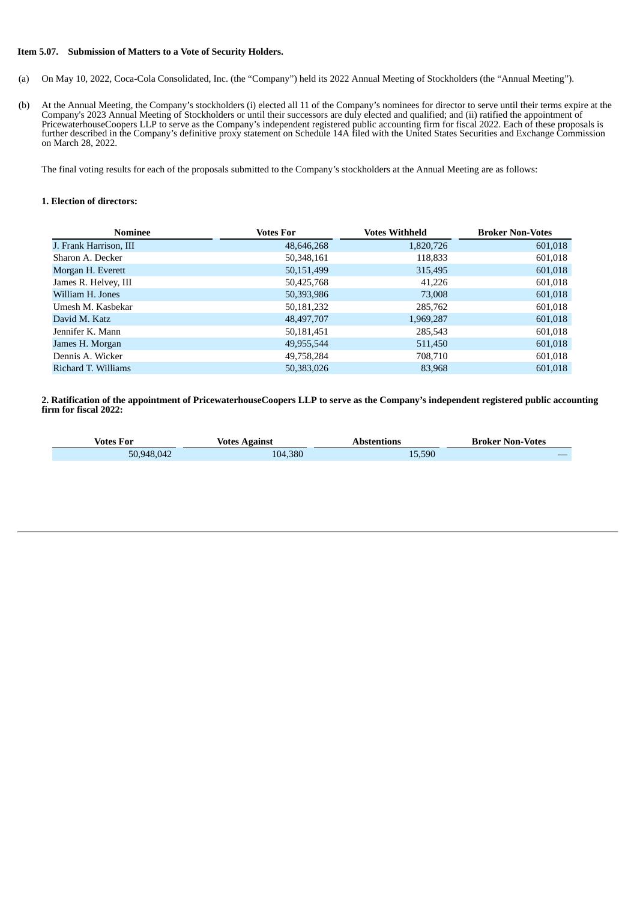### **Item 5.07. Submission of Matters to a Vote of Security Holders.**

- (a) On May 10, 2022, Coca-Cola Consolidated, Inc. (the "Company") held its 2022 Annual Meeting of Stockholders (the "Annual Meeting").
- (b) At the Annual Meeting, the Company's stockholders (i) elected all 11 of the Company's nominees for director to serve until their terms expire at the Company's 2023 Annual Meeting of Stockholders or until their successors are duly elected and qualified; and (ii) ratified the appointment of PricewaterhouseCoopers LLP to serve as the Company's independent registered public accounting firm for fiscal 2022. Each of these proposals is further described in the Company's definitive proxy statement on Schedule 14A filed with the United States Securities and Exchange Commission on March 28, 2022.

The final voting results for each of the proposals submitted to the Company's stockholders at the Annual Meeting are as follows:

#### **1. Election of directors:**

| <b>Nominee</b>         | <b>Votes For</b> | <b>Votes Withheld</b> | <b>Broker Non-Votes</b> |
|------------------------|------------------|-----------------------|-------------------------|
| J. Frank Harrison, III | 48,646,268       | 1,820,726             | 601,018                 |
| Sharon A. Decker       | 50,348,161       | 118,833               | 601,018                 |
| Morgan H. Everett      | 50,151,499       | 315,495               | 601,018                 |
| James R. Helvey, III   | 50,425,768       | 41,226                | 601,018                 |
| William H. Jones       | 50,393,986       | 73,008                | 601,018                 |
| Umesh M. Kasbekar      | 50,181,232       | 285,762               | 601,018                 |
| David M. Katz          | 48,497,707       | 1,969,287             | 601,018                 |
| Jennifer K. Mann       | 50,181,451       | 285,543               | 601,018                 |
| James H. Morgan        | 49,955,544       | 511,450               | 601,018                 |
| Dennis A. Wicker       | 49,758,284       | 708,710               | 601,018                 |
| Richard T. Williams    | 50,383,026       | 83,968                | 601,018                 |

#### 2. Ratification of the appointment of PricewaterhouseCoopers LLP to serve as the Company's independent registered public accounting **firm for fiscal 2022:**

| <b>Votes For</b> | <b>Votes Against</b> | Abstentions | <b>Broker Non-Votes</b> |
|------------------|----------------------|-------------|-------------------------|
| 50,948,042       | 104,380              | 15,590      | __                      |